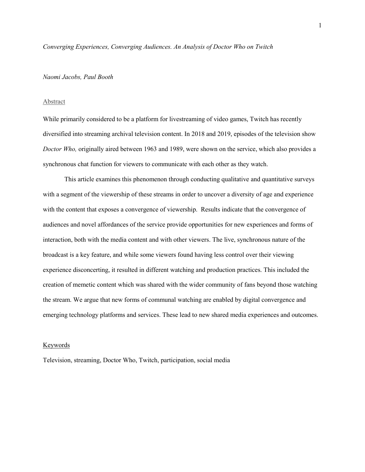*Converging Experiences, Converging Audiences. An Analysis of Doctor Who on Twitch*

## *Naomi Jacobs, Paul Booth*

# Abstract

While primarily considered to be a platform for livestreaming of video games, Twitch has recently diversified into streaming archival television content. In 2018 and 2019, episodes of the television show *Doctor Who,* originally aired between 1963 and 1989, were shown on the service, which also provides a synchronous chat function for viewers to communicate with each other as they watch.

This article examines this phenomenon through conducting qualitative and quantitative surveys with a segment of the viewership of these streams in order to uncover a diversity of age and experience with the content that exposes a convergence of viewership. Results indicate that the convergence of audiences and novel affordances of the service provide opportunities for new experiences and forms of interaction, both with the media content and with other viewers. The live, synchronous nature of the broadcast is a key feature, and while some viewers found having less control over their viewing experience disconcerting, it resulted in different watching and production practices. This included the creation of memetic content which was shared with the wider community of fans beyond those watching the stream. We argue that new forms of communal watching are enabled by digital convergence and emerging technology platforms and services. These lead to new shared media experiences and outcomes.

# Keywords

Television, streaming, Doctor Who, Twitch, participation, social media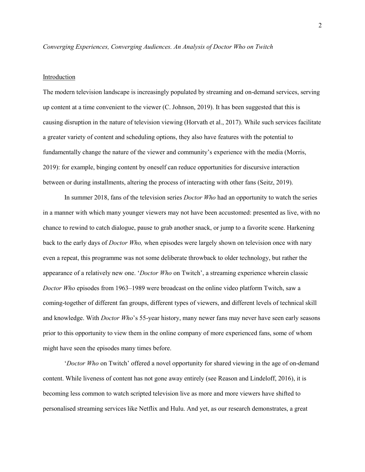### *Converging Experiences, Converging Audiences. An Analysis of Doctor Who on Twitch*

#### Introduction

The modern television landscape is increasingly populated by streaming and on-demand services, serving up content at a time convenient to the viewer (C. Johnson, 2019). It has been suggested that this is causing disruption in the nature of television viewing (Horvath et al., 2017). While such services facilitate a greater variety of content and scheduling options, they also have features with the potential to fundamentally change the nature of the viewer and community's experience with the media (Morris, 2019): for example, binging content by oneself can reduce opportunities for discursive interaction between or during installments, altering the process of interacting with other fans (Seitz, 2019).

In summer 2018, fans of the television series *Doctor Who* had an opportunity to watch the series in a manner with which many younger viewers may not have been accustomed: presented as live, with no chance to rewind to catch dialogue, pause to grab another snack, or jump to a favorite scene. Harkening back to the early days of *Doctor Who,* when episodes were largely shown on television once with nary even a repeat, this programme was not some deliberate throwback to older technology, but rather the appearance of a relatively new one. '*Doctor Who* on Twitch', a streaming experience wherein classic *Doctor Who* episodes from 1963–1989 were broadcast on the online video platform Twitch, saw a coming-together of different fan groups, different types of viewers, and different levels of technical skill and knowledge. With *Doctor Who*'s 55-year history, many newer fans may never have seen early seasons prior to this opportunity to view them in the online company of more experienced fans, some of whom might have seen the episodes many times before.

'*Doctor Who* on Twitch' offered a novel opportunity for shared viewing in the age of on-demand content. While liveness of content has not gone away entirely (see Reason and Lindeloff, 2016), it is becoming less common to watch scripted television live as more and more viewers have shifted to personalised streaming services like Netflix and Hulu. And yet, as our research demonstrates, a great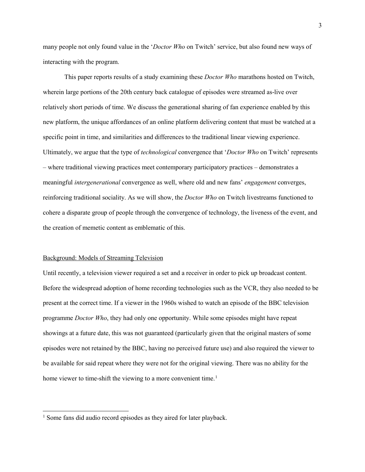many people not only found value in the '*Doctor Who* on Twitch' service, but also found new ways of interacting with the program.

This paper reports results of a study examining these *Doctor Who* marathons hosted on Twitch, wherein large portions of the 20th century back catalogue of episodes were streamed as-live over relatively short periods of time. We discuss the generational sharing of fan experience enabled by this new platform, the unique affordances of an online platform delivering content that must be watched at a specific point in time, and similarities and differences to the traditional linear viewing experience. Ultimately, we argue that the type of *technological* convergence that '*Doctor Who* on Twitch' represents – where traditional viewing practices meet contemporary participatory practices – demonstrates a meaningful *intergenerational* convergence as well, where old and new fans' *engagement* converges, reinforcing traditional sociality. As we will show, the *Doctor Who* on Twitch livestreams functioned to cohere a disparate group of people through the convergence of technology, the liveness of the event, and the creation of memetic content as emblematic of this.

## Background: Models of Streaming Television

 $\overline{a}$ 

Until recently, a television viewer required a set and a receiver in order to pick up broadcast content. Before the widespread adoption of home recording technologies such as the VCR, they also needed to be present at the correct time. If a viewer in the 1960s wished to watch an episode of the BBC television programme *Doctor Who*, they had only one opportunity. While some episodes might have repeat showings at a future date, this was not guaranteed (particularly given that the original masters of some episodes were not retained by the BBC, having no perceived future use) and also required the viewer to be available for said repeat where they were not for the original viewing. There was no ability for the home viewer to time-shift the viewing to a more convenient time.<sup>[1](#page-2-0)</sup>

<span id="page-2-0"></span><sup>&</sup>lt;sup>1</sup> Some fans did audio record episodes as they aired for later playback.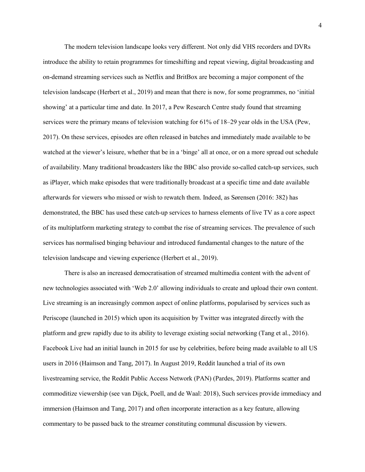The modern television landscape looks very different. Not only did VHS recorders and DVRs introduce the ability to retain programmes for timeshifting and repeat viewing, digital broadcasting and on-demand streaming services such as Netflix and BritBox are becoming a major component of the television landscape (Herbert et al., 2019) and mean that there is now, for some programmes, no 'initial showing' at a particular time and date. In 2017, a Pew Research Centre study found that streaming services were the primary means of television watching for 61% of 18–29 year olds in the USA (Pew, 2017). On these services, episodes are often released in batches and immediately made available to be watched at the viewer's leisure, whether that be in a 'binge' all at once, or on a more spread out schedule of availability. Many traditional broadcasters like the BBC also provide so-called catch-up services, such as iPlayer, which make episodes that were traditionally broadcast at a specific time and date available afterwards for viewers who missed or wish to rewatch them. Indeed, as Sørensen (2016: 382) has demonstrated, the BBC has used these catch-up services to harness elements of live TV as a core aspect of its multiplatform marketing strategy to combat the rise of streaming services. The prevalence of such services has normalised binging behaviour and introduced fundamental changes to the nature of the television landscape and viewing experience (Herbert et al., 2019).

There is also an increased democratisation of streamed multimedia content with the advent of new technologies associated with 'Web 2.0' allowing individuals to create and upload their own content. Live streaming is an increasingly common aspect of online platforms, popularised by services such as Periscope (launched in 2015) which upon its acquisition by Twitter was integrated directly with the platform and grew rapidly due to its ability to leverage existing social networking (Tang et al., 2016). Facebook Live had an initial launch in 2015 for use by celebrities, before being made available to all US users in 2016 (Haimson and Tang, 2017). In August 2019, Reddit launched a trial of its own livestreaming service, the Reddit Public Access Network (PAN) (Pardes, 2019). Platforms scatter and commoditize viewership (see van Dijck, Poell, and de Waal: 2018), Such services provide immediacy and immersion (Haimson and Tang, 2017) and often incorporate interaction as a key feature, allowing commentary to be passed back to the streamer constituting communal discussion by viewers.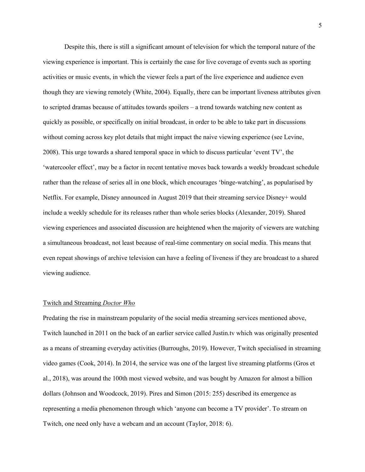Despite this, there is still a significant amount of television for which the temporal nature of the viewing experience is important. This is certainly the case for live coverage of events such as sporting activities or music events, in which the viewer feels a part of the live experience and audience even though they are viewing remotely (White, 2004). Equally, there can be important liveness attributes given to scripted dramas because of attitudes towards spoilers – a trend towards watching new content as quickly as possible, or specifically on initial broadcast, in order to be able to take part in discussions without coming across key plot details that might impact the naive viewing experience (see Levine, 2008). This urge towards a shared temporal space in which to discuss particular 'event TV', the 'watercooler effect', may be a factor in recent tentative moves back towards a weekly broadcast schedule rather than the release of series all in one block, which encourages 'binge-watching', as popularised by Netflix. For example, Disney announced in August 2019 that their streaming service Disney+ would include a weekly schedule for its releases rather than whole series blocks (Alexander, 2019). Shared viewing experiences and associated discussion are heightened when the majority of viewers are watching a simultaneous broadcast, not least because of real-time commentary on social media. This means that even repeat showings of archive television can have a feeling of liveness if they are broadcast to a shared viewing audience.

#### Twitch and Streaming *Doctor Who*

Predating the rise in mainstream popularity of the social media streaming services mentioned above, Twitch launched in 2011 on the back of an earlier service called Justin.tv which was originally presented as a means of streaming everyday activities (Burroughs, 2019). However, Twitch specialised in streaming video games (Cook, 2014). In 2014, the service was one of the largest live streaming platforms (Gros et al., 2018), was around the 100th most viewed website, and was bought by Amazon for almost a billion dollars (Johnson and Woodcock, 2019). Pires and Simon (2015: 255) described its emergence as representing a media phenomenon through which 'anyone can become a TV provider'. To stream on Twitch, one need only have a webcam and an account (Taylor, 2018: 6).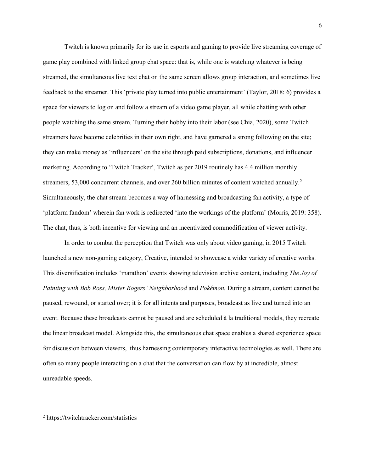Twitch is known primarily for its use in esports and gaming to provide live streaming coverage of game play combined with linked group chat space: that is, while one is watching whatever is being streamed, the simultaneous live text chat on the same screen allows group interaction, and sometimes live feedback to the streamer. This 'private play turned into public entertainment' (Taylor, 2018: 6) provides a space for viewers to log on and follow a stream of a video game player, all while chatting with other people watching the same stream. Turning their hobby into their labor (see Chia, 2020), some Twitch streamers have become celebrities in their own right, and have garnered a strong following on the site; they can make money as 'influencers' on the site through paid subscriptions, donations, and influencer marketing. According to 'Twitch Tracker', Twitch as per 2019 routinely has 4.4 million monthly streamers, 53,000 concurrent channels, and over [2](#page-5-0)60 billion minutes of content watched annually.<sup>2</sup> Simultaneously, the chat stream becomes a way of harnessing and broadcasting fan activity, a type of 'platform fandom' wherein fan work is redirected 'into the workings of the platform' (Morris, 2019: 358). The chat, thus, is both incentive for viewing and an incentivized commodification of viewer activity.

In order to combat the perception that Twitch was only about video gaming, in 2015 Twitch launched a new non-gaming category, Creative, intended to showcase a wider variety of creative works. This diversification includes 'marathon' events showing television archive content, including *The Joy of Painting with Bob Ross, Mister Rogers' Neighborhood* and *Pokémon.* During a stream, content cannot be paused, rewound, or started over; it is for all intents and purposes, broadcast as live and turned into an event. Because these broadcasts cannot be paused and are scheduled à la traditional models, they recreate the linear broadcast model. Alongside this, the simultaneous chat space enables a shared experience space for discussion between viewers, thus harnessing contemporary interactive technologies as well. There are often so many people interacting on a chat that the conversation can flow by at incredible, almost unreadable speeds.

 $\overline{a}$ 

<span id="page-5-0"></span><sup>2</sup> [https://twitchtracker.com/sta](https://twitchtracker.com/statistics)tistics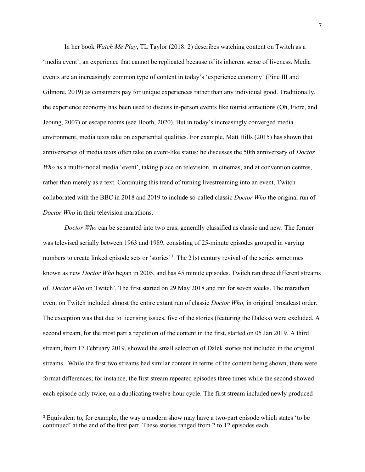In her book *Watch Me Play*, TL Taylor (2018: 2) describes watching content on Twitch as a 'media event', an experience that cannot be replicated because of its inherent sense of liveness. Media events are an increasingly common type of content in today's 'experience economy' (Pine III and Gilmore, 2019) as consumers pay for unique experiences rather than any individual good. Traditionally, the experience economy has been used to discuss in-person events like tourist attractions (Oh, Fiore, and Jeoung, 2007) or escape rooms (see Booth, 2020). But in today's increasingly converged media environment, media texts take on experiential qualities. For example, Matt Hills (2015) has shown that anniversaries of media texts often take on event-like status: he discusses the 50th anniversary of *Doctor Who* as a multi-modal media 'event', taking place on television, in cinemas, and at convention centres, rather than merely as a text. Continuing this trend of turning livestreaming into an event, Twitch collaborated with the BBC in 2018 and 2019 to include so-called classic *Doctor Who* the original run of *Doctor Who* in their television marathons.

*Doctor Who* can be separated into two eras, generally classified as classic and new. The former was televised serially between 1963 and 1989, consisting of 25-minute episodes grouped in varying numbers to create linked episode sets or 'stories'<sup>[3](#page-6-0)</sup>. The 21st century revival of the series sometimes known as new *Doctor Who* began in 2005, and has 45 minute episodes. Twitch ran three different streams of '*Doctor Who* on Twitch'. The first started on 29 May 2018 and ran for seven weeks. The marathon event on Twitch included almost the entire extant run of classic *Doctor Who,* in original broadcast order. The exception was that due to licensing issues, five of the stories (featuring the Daleks) were excluded. A second stream, for the most part a repetition of the content in the first, started on 05 Jan 2019. A third stream, from 17 February 2019, showed the small selection of Dalek stories not included in the original streams. While the first two streams had similar content in terms of the content being shown, there were format differences; for instance, the first stream repeated episodes three times while the second showed each episode only twice, on a duplicating twelve-hour cycle. The first stream included newly produced

<span id="page-6-0"></span> <sup>3</sup> Equivalent to, for example, the way a modern show may have a two-part episode which states 'to be continued' at the end of the first part. These stories ranged from 2 to 12 episodes each.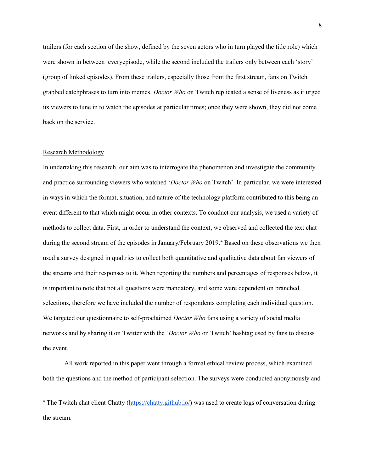trailers (for each section of the show, defined by the seven actors who in turn played the title role) which were shown in between everyepisode, while the second included the trailers only between each 'story' (group of linked episodes). From these trailers, especially those from the first stream, fans on Twitch grabbed catchphrases to turn into memes. *Doctor Who* on Twitch replicated a sense of liveness as it urged its viewers to tune in to watch the episodes at particular times; once they were shown, they did not come back on the service.

#### Research Methodology

 $\overline{a}$ 

In undertaking this research, our aim was to interrogate the phenomenon and investigate the community and practice surrounding viewers who watched '*Doctor Who* on Twitch'. In particular, we were interested in ways in which the format, situation, and nature of the technology platform contributed to this being an event different to that which might occur in other contexts. To conduct our analysis, we used a variety of methods to collect data. First, in order to understand the context, we observed and collected the text chat during the second stream of the episodes in January/February 2019.<sup>[4](#page-7-0)</sup> Based on these observations we then used a survey designed in qualtrics to collect both quantitative and qualitative data about fan viewers of the streams and their responses to it. When reporting the numbers and percentages of responses below, it is important to note that not all questions were mandatory, and some were dependent on branched selections, therefore we have included the number of respondents completing each individual question. We targeted our questionnaire to self-proclaimed *Doctor Who* fans using a variety of social media networks and by sharing it on Twitter with the '*Doctor Who* on Twitch' hashtag used by fans to discuss the event.

All work reported in this paper went through a formal ethical review process, which examined both the questions and the method of participant selection. The surveys were conducted anonymously and

<span id="page-7-0"></span><sup>&</sup>lt;sup>4</sup> The Twitch chat client Chatty [\(https://chatty.github.io/\)](https://chatty.github.io/) was used to create logs of conversation during the stream.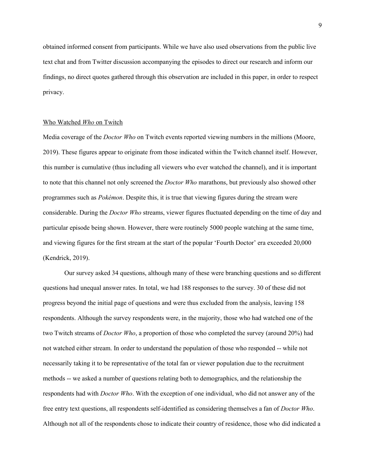obtained informed consent from participants. While we have also used observations from the public live text chat and from Twitter discussion accompanying the episodes to direct our research and inform our findings, no direct quotes gathered through this observation are included in this paper, in order to respect privacy.

### Who Watched *Who* on Twitch

Media coverage of the *Doctor Who* on Twitch events reported viewing numbers in the millions (Moore, 2019). These figures appear to originate from those indicated within the Twitch channel itself. However, this number is cumulative (thus including all viewers who ever watched the channel), and it is important to note that this channel not only screened the *Doctor Who* marathons, but previously also showed other programmes such as *Pokémon*. Despite this, it is true that viewing figures during the stream were considerable. During the *Doctor Who* streams, viewer figures fluctuated depending on the time of day and particular episode being shown. However, there were routinely 5000 people watching at the same time, and viewing figures for the first stream at the start of the popular 'Fourth Doctor' era exceeded 20,000 (Kendrick, 2019).

Our survey asked 34 questions, although many of these were branching questions and so different questions had unequal answer rates. In total, we had 188 responses to the survey. 30 of these did not progress beyond the initial page of questions and were thus excluded from the analysis, leaving 158 respondents. Although the survey respondents were, in the majority, those who had watched one of the two Twitch streams of *Doctor Who*, a proportion of those who completed the survey (around 20%) had not watched either stream. In order to understand the population of those who responded -- while not necessarily taking it to be representative of the total fan or viewer population due to the recruitment methods -- we asked a number of questions relating both to demographics, and the relationship the respondents had with *Doctor Who*. With the exception of one individual, who did not answer any of the free entry text questions, all respondents self-identified as considering themselves a fan of *Doctor Who*. Although not all of the respondents chose to indicate their country of residence, those who did indicated a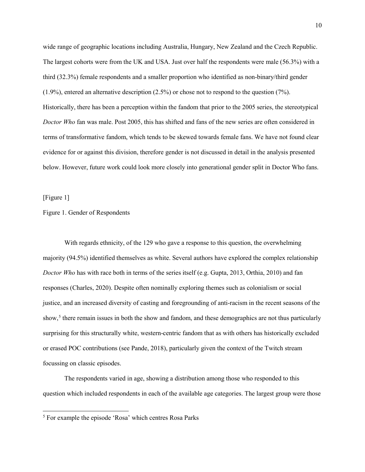wide range of geographic locations including Australia, Hungary, New Zealand and the Czech Republic. The largest cohorts were from the UK and USA. Just over half the respondents were male (56.3%) with a third (32.3%) female respondents and a smaller proportion who identified as non-binary/third gender (1.9%), entered an alternative description (2.5%) or chose not to respond to the question (7%). Historically, there has been a perception within the fandom that prior to the 2005 series, the stereotypical *Doctor Who* fan was male. Post 2005, this has shifted and fans of the new series are often considered in terms of transformative fandom, which tends to be skewed towards female fans. We have not found clear evidence for or against this division, therefore gender is not discussed in detail in the analysis presented below. However, future work could look more closely into generational gender split in Doctor Who fans.

[Figure 1]

 $\ddot{\phantom{a}}$ 

# Figure 1. Gender of Respondents

With regards ethnicity, of the 129 who gave a response to this question, the overwhelming majority (94.5%) identified themselves as white. Several authors have explored the complex relationship *Doctor Who* has with race both in terms of the series itself (e.g. Gupta, 2013, Orthia, 2010) and fan responses (Charles, 2020). Despite often nominally exploring themes such as colonialism or social justice, and an increased diversity of casting and foregrounding of anti-racism in the recent seasons of the show,<sup>[5](#page-9-0)</sup> there remain issues in both the show and fandom, and these demographics are not thus particularly surprising for this structurally white, western-centric fandom that as with others has historically excluded or erased POC contributions (see Pande, 2018), particularly given the context of the Twitch stream focussing on classic episodes.

The respondents varied in age, showing a distribution among those who responded to this question which included respondents in each of the available age categories. The largest group were those

<span id="page-9-0"></span><sup>&</sup>lt;sup>5</sup> For example the episode 'Rosa' which centres Rosa Parks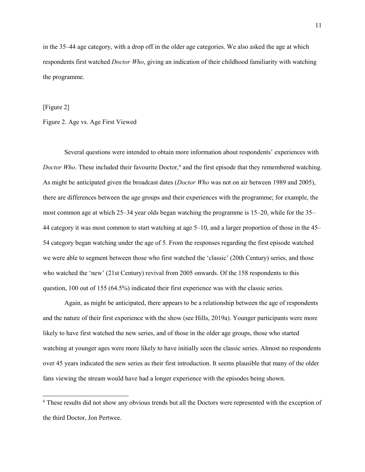in the 35–44 age category, with a drop off in the older age categories. We also asked the age at which respondents first watched *Doctor Who*, giving an indication of their childhood familiarity with watching the programme.

[Figure 2]

 $\overline{a}$ 

Figure 2. Age vs. Age First Viewed

Several questions were intended to obtain more information about respondents' experiences with *Doctor Who*. These included their favourite Doctor,<sup>6</sup> and the first episode that they remembered watching. As might be anticipated given the broadcast dates (*Doctor Who* was not on air between 1989 and 2005), there are differences between the age groups and their experiences with the programme; for example, the most common age at which 25–34 year olds began watching the programme is 15–20, while for the 35– 44 category it was most common to start watching at age 5–10, and a larger proportion of those in the 45– 54 category began watching under the age of 5. From the responses regarding the first episode watched we were able to segment between those who first watched the 'classic' (20th Century) series, and those who watched the 'new' (21st Century) revival from 2005 onwards. Of the 158 respondents to this question, 100 out of 155 (64.5%) indicated their first experience was with the classic series.

Again, as might be anticipated, there appears to be a relationship between the age of respondents and the nature of their first experience with the show (see Hills, 2019a). Younger participants were more likely to have first watched the new series, and of those in the older age groups, those who started watching at younger ages were more likely to have initially seen the classic series. Almost no respondents over 45 years indicated the new series as their first introduction. It seems plausible that many of the older fans viewing the stream would have had a longer experience with the episodes being shown.

<span id="page-10-0"></span><sup>&</sup>lt;sup>6</sup> These results did not show any obvious trends but all the Doctors were represented with the exception of the third Doctor, Jon Pertwee.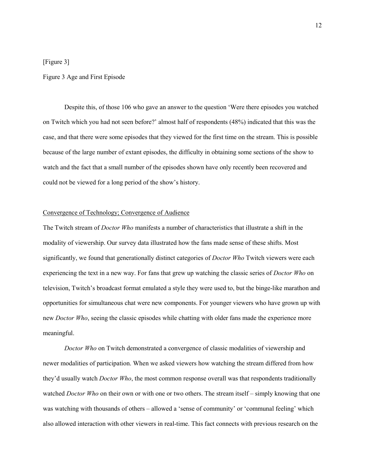# [Figure 3]

## Figure 3 Age and First Episode

Despite this, of those 106 who gave an answer to the question 'Were there episodes you watched on Twitch which you had not seen before?' almost half of respondents (48%) indicated that this was the case, and that there were some episodes that they viewed for the first time on the stream. This is possible because of the large number of extant episodes, the difficulty in obtaining some sections of the show to watch and the fact that a small number of the episodes shown have only recently been recovered and could not be viewed for a long period of the show's history.

# Convergence of Technology; Convergence of Audience

The Twitch stream of *Doctor Who* manifests a number of characteristics that illustrate a shift in the modality of viewership. Our survey data illustrated how the fans made sense of these shifts. Most significantly, we found that generationally distinct categories of *Doctor Who* Twitch viewers were each experiencing the text in a new way. For fans that grew up watching the classic series of *Doctor Who* on television, Twitch's broadcast format emulated a style they were used to, but the binge-like marathon and opportunities for simultaneous chat were new components. For younger viewers who have grown up with new *Doctor Who*, seeing the classic episodes while chatting with older fans made the experience more meaningful.

*Doctor Who* on Twitch demonstrated a convergence of classic modalities of viewership and newer modalities of participation. When we asked viewers how watching the stream differed from how they'd usually watch *Doctor Who*, the most common response overall was that respondents traditionally watched *Doctor Who* on their own or with one or two others. The stream itself – simply knowing that one was watching with thousands of others – allowed a 'sense of community' or 'communal feeling' which also allowed interaction with other viewers in real-time. This fact connects with previous research on the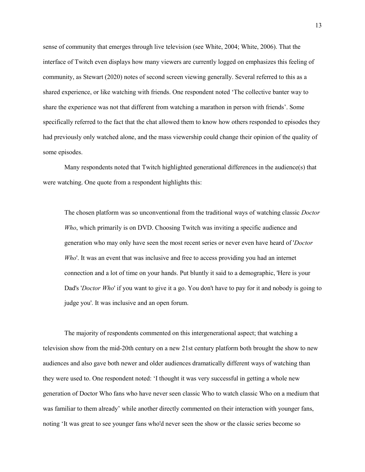sense of community that emerges through live television (see White, 2004; White, 2006). That the interface of Twitch even displays how many viewers are currently logged on emphasizes this feeling of community, as Stewart (2020) notes of second screen viewing generally. Several referred to this as a shared experience, or like watching with friends. One respondent noted 'The collective banter way to share the experience was not that different from watching a marathon in person with friends'. Some specifically referred to the fact that the chat allowed them to know how others responded to episodes they had previously only watched alone, and the mass viewership could change their opinion of the quality of some episodes.

Many respondents noted that Twitch highlighted generational differences in the audience(s) that were watching. One quote from a respondent highlights this:

The chosen platform was so unconventional from the traditional ways of watching classic *Doctor Who*, which primarily is on DVD. Choosing Twitch was inviting a specific audience and generation who may only have seen the most recent series or never even have heard of '*Doctor Who*'. It was an event that was inclusive and free to access providing you had an internet connection and a lot of time on your hands. Put bluntly it said to a demographic, 'Here is your Dad's '*Doctor Who*' if you want to give it a go. You don't have to pay for it and nobody is going to judge you'. It was inclusive and an open forum.

The majority of respondents commented on this intergenerational aspect; that watching a television show from the mid-20th century on a new 21st century platform both brought the show to new audiences and also gave both newer and older audiences dramatically different ways of watching than they were used to. One respondent noted: 'I thought it was very successful in getting a whole new generation of Doctor Who fans who have never seen classic Who to watch classic Who on a medium that was familiar to them already' while another directly commented on their interaction with younger fans, noting 'It was great to see younger fans who'd never seen the show or the classic series become so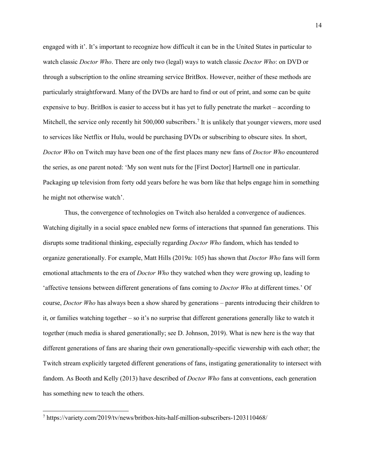engaged with it'. It's important to recognize how difficult it can be in the United States in particular to watch classic *Doctor Who*. There are only two (legal) ways to watch classic *Doctor Who*: on DVD or through a subscription to the online streaming service BritBox. However, neither of these methods are particularly straightforward. Many of the DVDs are hard to find or out of print, and some can be quite expensive to buy. BritBox is easier to access but it has yet to fully penetrate the market – according to Mitchell, the service only recently hit 500,000 subscribers.<sup>[7](#page-13-0)</sup> It is unlikely that younger viewers, more used to services like Netflix or Hulu, would be purchasing DVDs or subscribing to obscure sites. In short, *Doctor Who* on Twitch may have been one of the first places many new fans of *Doctor Who* encountered the series, as one parent noted: 'My son went nuts for the [First Doctor] Hartnell one in particular. Packaging up television from forty odd years before he was born like that helps engage him in something he might not otherwise watch'.

Thus, the convergence of technologies on Twitch also heralded a convergence of audiences. Watching digitally in a social space enabled new forms of interactions that spanned fan generations. This disrupts some traditional thinking, especially regarding *Doctor Who* fandom, which has tended to organize generationally. For example, Matt Hills (2019a: 105) has shown that *Doctor Who* fans will form emotional attachments to the era of *Doctor Who* they watched when they were growing up, leading to 'affective tensions between different generations of fans coming to *Doctor Who* at different times.' Of course, *Doctor Who* has always been a show shared by generations – parents introducing their children to it, or families watching together – so it's no surprise that different generations generally like to watch it together (much media is shared generationally; see D. Johnson, 2019). What is new here is the way that different generations of fans are sharing their own generationally-specific viewership with each other; the Twitch stream explicitly targeted different generations of fans, instigating generationality to intersect with fandom. As Booth and Kelly (2013) have described of *Doctor Who* fans at conventions, each generation has something new to teach the others.

 $\ddot{\phantom{a}}$ 

<span id="page-13-0"></span><sup>7</sup> https://variety.com/2019/tv/news/britbox-hits-half-million-subscribers-1203110468/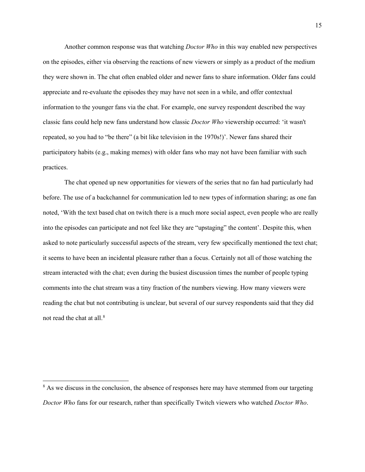Another common response was that watching *Doctor Who* in this way enabled new perspectives on the episodes, either via observing the reactions of new viewers or simply as a product of the medium they were shown in. The chat often enabled older and newer fans to share information. Older fans could appreciate and re-evaluate the episodes they may have not seen in a while, and offer contextual information to the younger fans via the chat. For example, one survey respondent described the way classic fans could help new fans understand how classic *Doctor Who* viewership occurred: 'it wasn't repeated, so you had to "be there" (a bit like television in the 1970s!)'. Newer fans shared their participatory habits (e.g., making memes) with older fans who may not have been familiar with such practices.

The chat opened up new opportunities for viewers of the series that no fan had particularly had before. The use of a backchannel for communication led to new types of information sharing; as one fan noted, 'With the text based chat on twitch there is a much more social aspect, even people who are really into the episodes can participate and not feel like they are "upstaging" the content'. Despite this, when asked to note particularly successful aspects of the stream, very few specifically mentioned the text chat; it seems to have been an incidental pleasure rather than a focus. Certainly not all of those watching the stream interacted with the chat; even during the busiest discussion times the number of people typing comments into the chat stream was a tiny fraction of the numbers viewing. How many viewers were reading the chat but not contributing is unclear, but several of our survey respondents said that they did not read the chat at all.[8](#page-14-0)

 $\ddot{\phantom{a}}$ 

<span id="page-14-0"></span><sup>&</sup>lt;sup>8</sup> As we discuss in the conclusion, the absence of responses here may have stemmed from our targeting *Doctor Who* fans for our research, rather than specifically Twitch viewers who watched *Doctor Who*.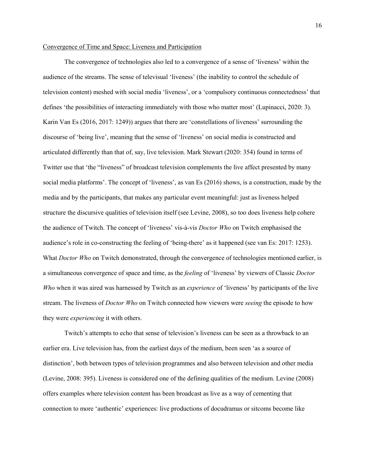## Convergence of Time and Space: Liveness and Participation

The convergence of technologies also led to a convergence of a sense of 'liveness' within the audience of the streams. The sense of televisual 'liveness' (the inability to control the schedule of television content) meshed with social media 'liveness', or a 'compulsory continuous connectedness' that defines 'the possibilities of interacting immediately with those who matter most' (Lupinacci, 2020: 3). Karin Van Es (2016, 2017: 1249)) argues that there are 'constellations of liveness' surrounding the discourse of 'being live', meaning that the sense of 'liveness' on social media is constructed and articulated differently than that of, say, live television. Mark Stewart (2020: 354) found in terms of Twitter use that 'the "liveness" of broadcast television complements the live affect presented by many social media platforms'. The concept of 'liveness', as van Es (2016) shows, is a construction, made by the media and by the participants, that makes any particular event meaningful: just as liveness helped structure the discursive qualities of television itself (see Levine, 2008), so too does liveness help cohere the audience of Twitch. The concept of 'liveness' vis-à-vis *Doctor Who* on Twitch emphasised the audience's role in co-constructing the feeling of 'being-there' as it happened (see van Es: 2017: 1253). What *Doctor Who* on Twitch demonstrated, through the convergence of technologies mentioned earlier, is a simultaneous convergence of space and time, as the *feeling* of 'liveness' by viewers of Classic *Doctor Who* when it was aired was harnessed by Twitch as an *experience* of 'liveness' by participants of the live stream. The liveness of *Doctor Who* on Twitch connected how viewers were *seeing* the episode to how they were *experiencing* it with others.

Twitch's attempts to echo that sense of television's liveness can be seen as a throwback to an earlier era. Live television has, from the earliest days of the medium, been seen 'as a source of distinction', both between types of television programmes and also between television and other media (Levine, 2008: 395). Liveness is considered one of the defining qualities of the medium. Levine (2008) offers examples where television content has been broadcast as live as a way of cementing that connection to more 'authentic' experiences: live productions of docudramas or sitcoms become like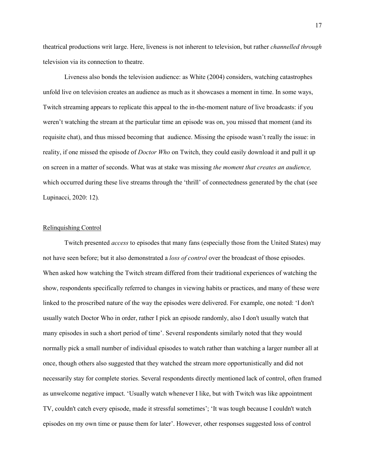theatrical productions writ large. Here, liveness is not inherent to television, but rather *channelled through* television via its connection to theatre.

Liveness also bonds the television audience: as White (2004) considers, watching catastrophes unfold live on television creates an audience as much as it showcases a moment in time. In some ways, Twitch streaming appears to replicate this appeal to the in-the-moment nature of live broadcasts: if you weren't watching the stream at the particular time an episode was on, you missed that moment (and its requisite chat), and thus missed becoming that audience. Missing the episode wasn't really the issue: in reality, if one missed the episode of *Doctor Who* on Twitch, they could easily download it and pull it up on screen in a matter of seconds. What was at stake was missing *the moment that creates an audience,* which occurred during these live streams through the 'thrill' of connectedness generated by the chat (see Lupinacci, 2020: 12)*.*

# Relinquishing Control

Twitch presented *access* to episodes that many fans (especially those from the United States) may not have seen before; but it also demonstrated a *loss of control* over the broadcast of those episodes. When asked how watching the Twitch stream differed from their traditional experiences of watching the show, respondents specifically referred to changes in viewing habits or practices, and many of these were linked to the proscribed nature of the way the episodes were delivered. For example, one noted: 'I don't usually watch Doctor Who in order, rather I pick an episode randomly, also I don't usually watch that many episodes in such a short period of time'. Several respondents similarly noted that they would normally pick a small number of individual episodes to watch rather than watching a larger number all at once, though others also suggested that they watched the stream more opportunistically and did not necessarily stay for complete stories. Several respondents directly mentioned lack of control, often framed as unwelcome negative impact. 'Usually watch whenever I like, but with Twitch was like appointment TV, couldn't catch every episode, made it stressful sometimes'; 'It was tough because I couldn't watch episodes on my own time or pause them for later'. However, other responses suggested loss of control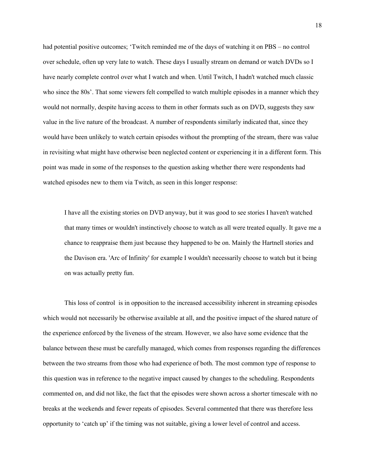had potential positive outcomes; 'Twitch reminded me of the days of watching it on PBS – no control over schedule, often up very late to watch. These days I usually stream on demand or watch DVDs so I have nearly complete control over what I watch and when. Until Twitch, I hadn't watched much classic who since the 80s'. That some viewers felt compelled to watch multiple episodes in a manner which they would not normally, despite having access to them in other formats such as on DVD, suggests they saw value in the live nature of the broadcast. A number of respondents similarly indicated that, since they would have been unlikely to watch certain episodes without the prompting of the stream, there was value in revisiting what might have otherwise been neglected content or experiencing it in a different form. This point was made in some of the responses to the question asking whether there were respondents had watched episodes new to them via Twitch, as seen in this longer response:

I have all the existing stories on DVD anyway, but it was good to see stories I haven't watched that many times or wouldn't instinctively choose to watch as all were treated equally. It gave me a chance to reappraise them just because they happened to be on. Mainly the Hartnell stories and the Davison era. 'Arc of Infinity' for example I wouldn't necessarily choose to watch but it being on was actually pretty fun.

This loss of control is in opposition to the increased accessibility inherent in streaming episodes which would not necessarily be otherwise available at all, and the positive impact of the shared nature of the experience enforced by the liveness of the stream. However, we also have some evidence that the balance between these must be carefully managed, which comes from responses regarding the differences between the two streams from those who had experience of both. The most common type of response to this question was in reference to the negative impact caused by changes to the scheduling. Respondents commented on, and did not like, the fact that the episodes were shown across a shorter timescale with no breaks at the weekends and fewer repeats of episodes. Several commented that there was therefore less opportunity to 'catch up' if the timing was not suitable, giving a lower level of control and access.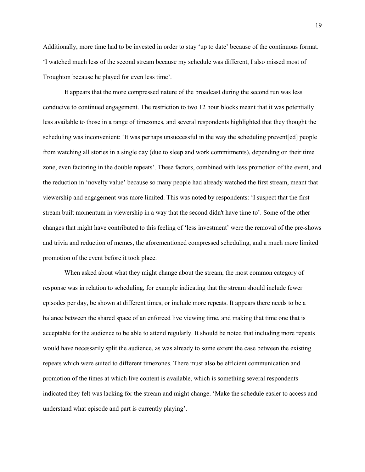Additionally, more time had to be invested in order to stay 'up to date' because of the continuous format. 'I watched much less of the second stream because my schedule was different, I also missed most of Troughton because he played for even less time'.

It appears that the more compressed nature of the broadcast during the second run was less conducive to continued engagement. The restriction to two 12 hour blocks meant that it was potentially less available to those in a range of timezones, and several respondents highlighted that they thought the scheduling was inconvenient: 'It was perhaps unsuccessful in the way the scheduling prevent[ed] people from watching all stories in a single day (due to sleep and work commitments), depending on their time zone, even factoring in the double repeats'. These factors, combined with less promotion of the event, and the reduction in 'novelty value' because so many people had already watched the first stream, meant that viewership and engagement was more limited. This was noted by respondents: 'I suspect that the first stream built momentum in viewership in a way that the second didn't have time to'. Some of the other changes that might have contributed to this feeling of 'less investment' were the removal of the pre-shows and trivia and reduction of memes, the aforementioned compressed scheduling, and a much more limited promotion of the event before it took place.

When asked about what they might change about the stream, the most common category of response was in relation to scheduling, for example indicating that the stream should include fewer episodes per day, be shown at different times, or include more repeats. It appears there needs to be a balance between the shared space of an enforced live viewing time, and making that time one that is acceptable for the audience to be able to attend regularly. It should be noted that including more repeats would have necessarily split the audience, as was already to some extent the case between the existing repeats which were suited to different timezones. There must also be efficient communication and promotion of the times at which live content is available, which is something several respondents indicated they felt was lacking for the stream and might change. 'Make the schedule easier to access and understand what episode and part is currently playing'.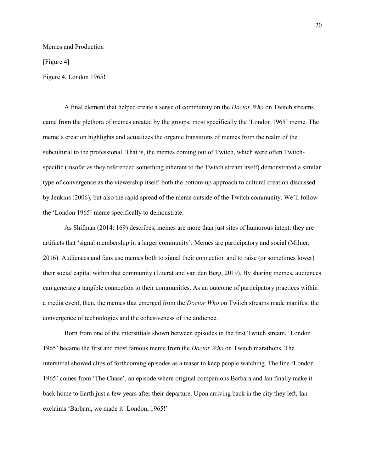## Memes and Production

[Figure 4]

Figure 4. London 1965!

A final element that helped create a sense of community on the *Doctor Who* on Twitch streams came from the plethora of memes created by the groups, most specifically the 'London 1965' meme. The meme's creation highlights and actualizes the organic transitions of memes from the realm of the subcultural to the professional. That is, the memes coming out of Twitch, which were often Twitchspecific (insofar as they referenced something inherent to the Twitch stream itself) demonstrated a similar type of convergence as the viewership itself: both the bottom-up approach to cultural creation discussed by Jenkins (2006), but also the rapid spread of the meme outside of the Twitch community. We'll follow the 'London 1965' meme specifically to demonstrate.

As Shifman (2014: 169) describes, memes are more than just sites of humorous intent: they are artifacts that 'signal membership in a larger community'. Memes are participatory and social (Milner, 2016). Audiences and fans use memes both to signal their connection and to raise (or sometimes lower) their social capital within that community (Literat and van den Berg, 2019). By sharing memes, audiences can generate a tangible connection to their communities. As an outcome of participatory practices within a media event, then, the memes that emerged from the *Doctor Who* on Twitch streams made manifest the convergence of technologies and the cohesiveness of the audience.

Born from one of the interstitials shown between episodes in the first Twitch stream, 'London 1965' became the first and most famous meme from the *Doctor Who* on Twitch marathons. The interstitial showed clips of forthcoming episodes as a teaser to keep people watching. The line 'London 1965' comes from 'The Chase', an episode where original companions Barbara and Ian finally make it back home to Earth just a few years after their departure. Upon arriving back in the city they left, Ian exclaims 'Barbara, we made it! London, 1965!'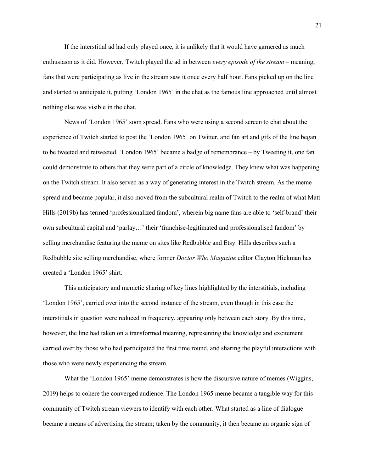If the interstitial ad had only played once, it is unlikely that it would have garnered as much enthusiasm as it did. However, Twitch played the ad in between *every episode of the stream* – meaning, fans that were participating as live in the stream saw it once every half hour. Fans picked up on the line and started to anticipate it, putting 'London 1965' in the chat as the famous line approached until almost nothing else was visible in the chat.

News of 'London 1965' soon spread. Fans who were using a second screen to chat about the experience of Twitch started to post the 'London 1965' on Twitter, and fan art and gifs of the line began to be tweeted and retweeted. 'London 1965' became a badge of remembrance – by Tweeting it, one fan could demonstrate to others that they were part of a circle of knowledge. They knew what was happening on the Twitch stream. It also served as a way of generating interest in the Twitch stream. As the meme spread and became popular, it also moved from the subcultural realm of Twitch to the realm of what Matt Hills (2019b) has termed 'professionalized fandom', wherein big name fans are able to 'self-brand' their own subcultural capital and 'parlay…' their 'franchise-legitimated and professionalised fandom' by selling merchandise featuring the meme on sites like Redbubble and Etsy. Hills describes such a Redbubble site selling merchandise, where former *Doctor Who Magazine* editor Clayton Hickman has created a 'London 1965' shirt.

This anticipatory and memetic sharing of key lines highlighted by the interstitials, including 'London 1965', carried over into the second instance of the stream, even though in this case the interstitials in question were reduced in frequency, appearing only between each story. By this time, however, the line had taken on a transformed meaning, representing the knowledge and excitement carried over by those who had participated the first time round, and sharing the playful interactions with those who were newly experiencing the stream.

What the 'London 1965' meme demonstrates is how the discursive nature of memes (Wiggins, 2019) helps to cohere the converged audience. The London 1965 meme became a tangible way for this community of Twitch stream viewers to identify with each other. What started as a line of dialogue became a means of advertising the stream; taken by the community, it then became an organic sign of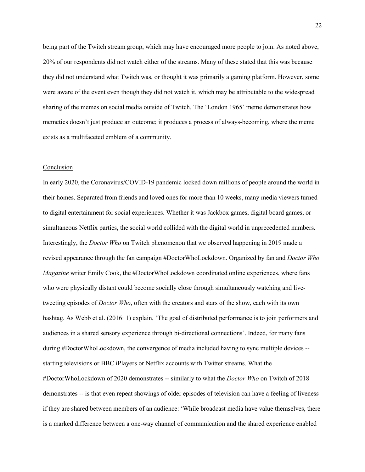being part of the Twitch stream group, which may have encouraged more people to join. As noted above, 20% of our respondents did not watch either of the streams. Many of these stated that this was because they did not understand what Twitch was, or thought it was primarily a gaming platform. However, some were aware of the event even though they did not watch it, which may be attributable to the widespread sharing of the memes on social media outside of Twitch. The 'London 1965' meme demonstrates how memetics doesn't just produce an outcome; it produces a process of always-becoming, where the meme exists as a multifaceted emblem of a community.

## Conclusion

In early 2020, the Coronavirus/COVID-19 pandemic locked down millions of people around the world in their homes. Separated from friends and loved ones for more than 10 weeks, many media viewers turned to digital entertainment for social experiences. Whether it was Jackbox games, digital board games, or simultaneous Netflix parties, the social world collided with the digital world in unprecedented numbers. Interestingly, the *Doctor Who* on Twitch phenomenon that we observed happening in 2019 made a revised appearance through the fan campaign #DoctorWhoLockdown. Organized by fan and *Doctor Who Magazine* writer Emily Cook, the #DoctorWhoLockdown coordinated online experiences, where fans who were physically distant could become socially close through simultaneously watching and livetweeting episodes of *Doctor Who*, often with the creators and stars of the show, each with its own hashtag. As Webb et al. (2016: 1) explain, 'The goal of distributed performance is to join performers and audiences in a shared sensory experience through bi-directional connections'. Indeed, for many fans during #DoctorWhoLockdown, the convergence of media included having to sync multiple devices - starting televisions or BBC iPlayers or Netflix accounts with Twitter streams. What the #DoctorWhoLockdown of 2020 demonstrates -- similarly to what the *Doctor Who* on Twitch of 2018 demonstrates -- is that even repeat showings of older episodes of television can have a feeling of liveness if they are shared between members of an audience: 'While broadcast media have value themselves, there is a marked difference between a one-way channel of communication and the shared experience enabled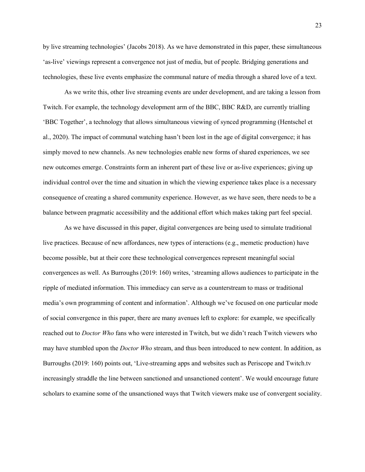by live streaming technologies' (Jacobs 2018). As we have demonstrated in this paper, these simultaneous 'as-live' viewings represent a convergence not just of media, but of people. Bridging generations and technologies, these live events emphasize the communal nature of media through a shared love of a text.

As we write this, other live streaming events are under development, and are taking a lesson from Twitch. For example, the technology development arm of the BBC, BBC R&D, are currently trialling 'BBC Together', a technology that allows simultaneous viewing of synced programming (Hentschel et al., 2020). The impact of communal watching hasn't been lost in the age of digital convergence; it has simply moved to new channels. As new technologies enable new forms of shared experiences, we see new outcomes emerge. Constraints form an inherent part of these live or as-live experiences; giving up individual control over the time and situation in which the viewing experience takes place is a necessary consequence of creating a shared community experience. However, as we have seen, there needs to be a balance between pragmatic accessibility and the additional effort which makes taking part feel special.

As we have discussed in this paper, digital convergences are being used to simulate traditional live practices. Because of new affordances, new types of interactions (e.g., memetic production) have become possible, but at their core these technological convergences represent meaningful social convergences as well. As Burroughs (2019: 160) writes, 'streaming allows audiences to participate in the ripple of mediated information. This immediacy can serve as a counterstream to mass or traditional media's own programming of content and information'. Although we've focused on one particular mode of social convergence in this paper, there are many avenues left to explore: for example, we specifically reached out to *Doctor Who* fans who were interested in Twitch, but we didn't reach Twitch viewers who may have stumbled upon the *Doctor Who* stream, and thus been introduced to new content. In addition, as Burroughs (2019: 160) points out, 'Live-streaming apps and websites such as Periscope and Twitch.tv increasingly straddle the line between sanctioned and unsanctioned content'. We would encourage future scholars to examine some of the unsanctioned ways that Twitch viewers make use of convergent sociality.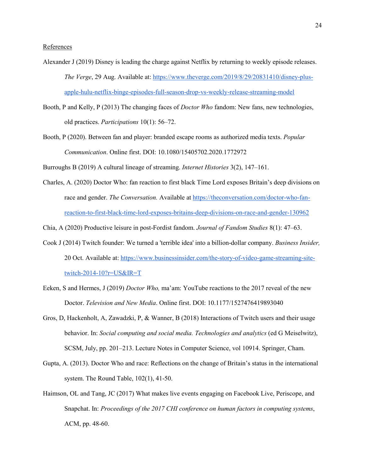- Alexander J (2019) Disney is leading the charge against Netflix by returning to weekly episode releases. *The Verge*, 29 Aug. Available at: [https://www.theverge.com/2019/8/29/20831410/disney-plus](https://www.theverge.com/2019/8/29/20831410/disney-plus-apple-hulu-netflix-binge-episodes-full-season-drop-vs-weekly-release-streaming-model)[apple-hulu-netflix-binge-episodes-full-season-drop-vs-weekly-release-streaming-model](https://www.theverge.com/2019/8/29/20831410/disney-plus-apple-hulu-netflix-binge-episodes-full-season-drop-vs-weekly-release-streaming-model)
- Booth, P and Kelly, P (2013) The changing faces of *Doctor Who* fandom: New fans, new technologies, old practices. *Participations* 10(1): 56–72.
- Booth, P (2020). Between fan and player: branded escape rooms as authorized media texts. *Popular Communication*. Online first. DOI: 10.1080/15405702.2020.1772972

Burroughs B (2019) A cultural lineage of streaming. *Internet Histories* 3(2), 147–161.

Charles, A. (2020) Doctor Who: fan reaction to first black Time Lord exposes Britain's deep divisions on race and gender. *The Conversation.* Available at [https://theconversation.com/doctor-who-fan](https://theconversation.com/doctor-who-fan-reaction-to-first-black-time-lord-exposes-britains-deep-divisions-on-race-and-gender-130962)[reaction-to-first-black-time-lord-exposes-britains-deep-divisions-on-race-and-gender-130962](https://theconversation.com/doctor-who-fan-reaction-to-first-black-time-lord-exposes-britains-deep-divisions-on-race-and-gender-130962)

Chia, A (2020) Productive leisure in post-Fordist fandom. *Journal of Fandom Studies* 8(1): 47–63.

- Cook J (2014) Twitch founder: We turned a 'terrible idea' into a billion-dollar company. *Business Insider,*  20 Oct. Available at: [https://www.businessinsider.com/the-story-of-video-game-streaming-site](https://www.businessinsider.com/the-story-of-video-game-streaming-site-twitch-2014-10?r=US&IR=T)[twitch-2014-10?r=US&IR=T](https://www.businessinsider.com/the-story-of-video-game-streaming-site-twitch-2014-10?r=US&IR=T)
- Eeken, S and Hermes, J (2019) *Doctor Who,* ma'am: YouTube reactions to the 2017 reveal of the new Doctor. *Television and New Media*. Online first. DOI: 10.1177/1527476419893040
- Gros, D, Hackenholt, A, Zawadzki, P, & Wanner, B (2018) Interactions of Twitch users and their usage behavior. In: *Social computing and social media. Technologies and analytics* (ed G Meiselwitz), SCSM, July, pp. 201–213. Lecture Notes in Computer Science, vol 10914. Springer, Cham.
- Gupta, A. (2013). Doctor Who and race: Reflections on the change of Britain's status in the international system. The Round Table, 102(1), 41-50.
- Haimson, OL and Tang, JC (2017) What makes live events engaging on Facebook Live, Periscope, and Snapchat. In: *Proceedings of the 2017 CHI conference on human factors in computing systems*, ACM, pp. 48-60.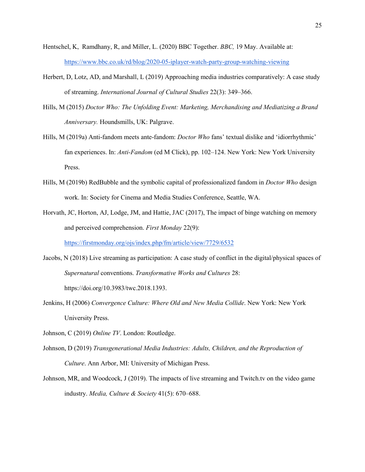- Hentschel, K, Ramdhany, R, and Miller, L. (2020) BBC Together. *BBC,* 19 May. Available at: <https://www.bbc.co.uk/rd/blog/2020-05-iplayer-watch-party-group-watching-viewing>
- Herbert, D, Lotz, AD, and Marshall, L (2019) Approaching media industries comparatively: A case study of streaming. *International Journal of Cultural Studies* 22(3): 349–366.
- Hills, M (2015) *Doctor Who: The Unfolding Event: Marketing, Merchandising and Mediatizing a Brand Anniversary.* Houndsmills, UK: Palgrave.
- Hills, M (2019a) Anti-fandom meets ante-fandom: *Doctor Who* fans' textual dislike and 'idiorrhythmic' fan experiences. In: *Anti-Fandom* (ed M Click), pp. 102–124. New York: New York University Press.
- Hills, M (2019b) RedBubble and the symbolic capital of professionalized fandom in *Doctor Who* design work. In: Society for Cinema and Media Studies Conference, Seattle, WA.
- Horvath, JC, Horton, AJ, Lodge, JM, and Hattie, JAC (2017), The impact of binge watching on memory and perceived comprehension. *First Monday* 22(9):

https://firstmonday.org/ojs/index.php/fm/article/view/7729/6532

- Jacobs, N (2018) Live streaming as participation: A case study of conflict in the digital/physical spaces of *Supernatural* conventions. *Transformative Works and Cultures* 28: https://doi.org/10.3983/twc.2018.1393.
- Jenkins, H (2006) *Convergence Culture: Where Old and New Media Collide*. New York: New York University Press.
- Johnson, C (2019) *Online TV*. London: Routledge.
- Johnson, D (2019) *Transgenerational Media Industries: Adults, Children, and the Reproduction of Culture*. Ann Arbor, MI: University of Michigan Press.
- Johnson, MR, and Woodcock, J (2019). The impacts of live streaming and Twitch.tv on the video game industry. *Media, Culture & Society* 41(5): 670–688.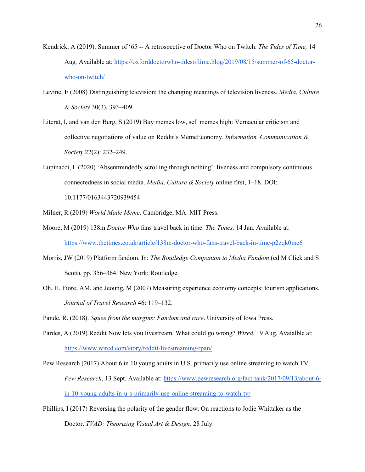- Kendrick, A (2019). Summer of '65 -- A retrospective of Doctor Who on Twitch. *The Tides of Time,* 14 Aug*.* Available at: https://oxforddoctorwho-tidesoftime.blog/2019/08/15/summer-of-65-doctorwho-on-twitch/
- Levine, E (2008) Distinguishing television: the changing meanings of television liveness. *Media, Culture & Society* 30(3), 393–409.
- Literat, I, and van den Berg, S (2019) Buy memes low, sell memes high: Vernacular criticism and collective negotiations of value on Reddit's MemeEconomy. *Information, Communication & Society* 22(2): 232–249.
- Lupinacci, L (2020) 'Absentmindedly scrolling through nothing': liveness and compulsory continuous connectedness in social media. *Media, Culture & Society* online first, 1–18. DOI: 10.1177/0163443720939454
- Milner, R (2019) *World Made Meme*. Cambridge, MA: MIT Press.
- Moore, M (2019) 138m *Doctor Who* fans travel back in time. *The Times,* 14 Jan. Available at: <https://www.thetimes.co.uk/article/138m-doctor-who-fans-travel-back-in-time-p2zqk0mc6>
- Morris, JW (2019) Platform fandom. In: *The Routledge Companion to Media Fandom* (ed M Click and S Scott), pp. 356–364. New York: Routledge.
- Oh, H, Fiore, AM, and Jeoung, M (2007) Measuring experience economy concepts: tourism applications. *Journal of Travel Research* 46: 119–132.

Pande, R. (2018). *Squee from the margins: Fandom and race*. University of Iowa Press.

Pardes, A (2019) Reddit Now lets you livestream. What could go wrong? *Wired*, 19 Aug. Avaialble at: https://www.wired.com/story/reddit-livestreaming-rpan/

Pew Research (2017) About 6 in 10 young adults in U.S. primarily use online streaming to watch TV. *Pew Research*, 13 Sept. Available at: [https://www.pewresearch.org/fact-tank/2017/09/13/about-6](https://www.pewresearch.org/fact-tank/2017/09/13/about-6-in-10-young-adults-in-u-s-primarily-use-online-streaming-to-watch-tv/) [in-10-young-adults-in-u-s-primarily-use-online-streaming-to-watch-tv/](https://www.pewresearch.org/fact-tank/2017/09/13/about-6-in-10-young-adults-in-u-s-primarily-use-online-streaming-to-watch-tv/)

Phillips, I (2017) Reversing the polarity of the gender flow: On reactions to Jodie Whittaker as the Doctor. *TVAD: Theorizing Visual Art & Design,* 28 July.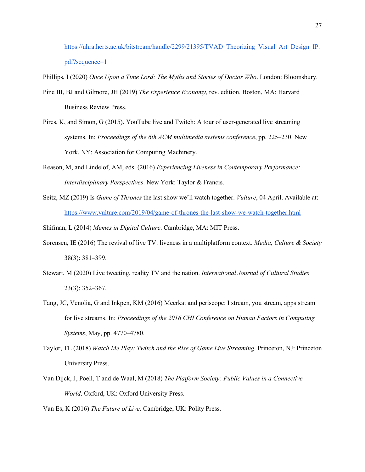https://uhra.herts.ac.uk/bitstream/handle/2299/21395/TVAD Theorizing Visual Art Design IP. pdf?sequence=1

Phillips, I (2020) *Once Upon a Time Lord: The Myths and Stories of Doctor Who*. London: Bloomsbury.

- Pine III, BJ and Gilmore, JH (2019) *The Experience Economy,* rev. edition. Boston, MA: Harvard Business Review Press.
- Pires, K, and Simon, G (2015). YouTube live and Twitch: A tour of user-generated live streaming systems. In: *Proceedings of the 6th ACM multimedia systems conference*, pp. 225–230. New York, NY: Association for Computing Machinery.
- Reason, M, and Lindelof, AM, eds. (2016) *Experiencing Liveness in Contemporary Performance: Interdisciplinary Perspectives*. New York: Taylor & Francis.
- Seitz, MZ (2019) Is *Game of Thrones* the last show we'll watch together. *Vulture*, 04 April. Available at: <https://www.vulture.com/2019/04/game-of-thrones-the-last-show-we-watch-together.html>

Shifman, L (2014) *Memes in Digital Culture*. Cambridge, MA: MIT Press.

- Sørensen, IE (2016) The revival of live TV: liveness in a multiplatform context. *Media, Culture & Society*  38(3): 381–399.
- Stewart, M (2020) Live tweeting, reality TV and the nation. *International Journal of Cultural Studies*  23(3): 352–367.
- Tang, JC, Venolia, G and Inkpen, KM (2016) Meerkat and periscope: I stream, you stream, apps stream for live streams. In: *Proceedings of the 2016 CHI Conference on Human Factors in Computing Systems*, May, pp. 4770–4780.
- Taylor, TL (2018) *Watch Me Play: Twitch and the Rise of Game Live Streaming*. Princeton, NJ: Princeton University Press.
- Van Dijck, J, Poell, T and de Waal, M (2018) *The Platform Society: Public Values in a Connective World*. Oxford, UK: Oxford University Press.

Van Es, K (2016) *The Future of Live.* Cambridge, UK: Polity Press.